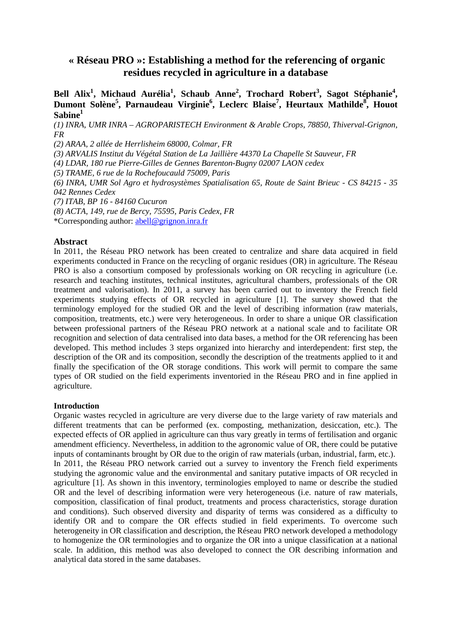# **« Réseau PRO »: Establishing a method for the referencing of organic residues recycled in agriculture in a database**

**Bell Alix<sup>1</sup> , Michaud Aurélia<sup>1</sup> , Schaub Anne<sup>2</sup> , Trochard Robert<sup>3</sup> , Sagot Stéphanie<sup>4</sup> , Dumont Solène<sup>5</sup> , Parnaudeau Virginie<sup>6</sup> , Leclerc Blaise<sup>7</sup> , Heurtaux Mathilde<sup>8</sup> , Houot Sabine<sup>1</sup>**

*(1) INRA, UMR INRA – AGROPARISTECH Environment & Arable Crops, 78850, Thiverval-Grignon, FR* 

*(2) ARAA, 2 allée de Herrlisheim 68000, Colmar, FR* 

*(3) ARVALIS Institut du Végétal Station de La Jaillière 44370 La Chapelle St Sauveur, FR* 

*(4) LDAR, 180 rue Pierre-Gilles de Gennes Barenton-Bugny 02007 LAON cedex* 

*(5) TRAME, 6 rue de la Rochefoucauld 75009, Paris* 

*(6) INRA, UMR Sol Agro et hydrosystèmes Spatialisation 65, Route de Saint Brieuc - CS 84215 - 35 042 Rennes Cedex* 

*(7) ITAB, BP 16 - 84160 Cucuron* 

*(8) ACTA, 149, rue de Bercy, 75595, Paris Cedex, FR* 

\*Corresponding author: abell@grignon.inra.fr

#### **Abstract**

In 2011, the Réseau PRO network has been created to centralize and share data acquired in field experiments conducted in France on the recycling of organic residues (OR) in agriculture. The Réseau PRO is also a consortium composed by professionals working on OR recycling in agriculture (i.e. research and teaching institutes, technical institutes, agricultural chambers, professionals of the OR treatment and valorisation). In 2011, a survey has been carried out to inventory the French field experiments studying effects of OR recycled in agriculture [1]. The survey showed that the terminology employed for the studied OR and the level of describing information (raw materials, composition, treatments, etc.) were very heterogeneous. In order to share a unique OR classification between professional partners of the Réseau PRO network at a national scale and to facilitate OR recognition and selection of data centralised into data bases, a method for the OR referencing has been developed. This method includes 3 steps organized into hierarchy and interdependent: first step, the description of the OR and its composition, secondly the description of the treatments applied to it and finally the specification of the OR storage conditions. This work will permit to compare the same types of OR studied on the field experiments inventoried in the Réseau PRO and in fine applied in agriculture.

#### **Introduction**

Organic wastes recycled in agriculture are very diverse due to the large variety of raw materials and different treatments that can be performed (ex. composting, methanization, desiccation, etc.). The expected effects of OR applied in agriculture can thus vary greatly in terms of fertilisation and organic amendment efficiency. Nevertheless, in addition to the agronomic value of OR, there could be putative inputs of contaminants brought by OR due to the origin of raw materials (urban, industrial, farm, etc.). In 2011, the Réseau PRO network carried out a survey to inventory the French field experiments studying the agronomic value and the environmental and sanitary putative impacts of OR recycled in agriculture [1]. As shown in this inventory, terminologies employed to name or describe the studied OR and the level of describing information were very heterogeneous (i.e. nature of raw materials, composition, classification of final product, treatments and process characteristics, storage duration and conditions). Such observed diversity and disparity of terms was considered as a difficulty to identify OR and to compare the OR effects studied in field experiments. To overcome such heterogeneity in OR classification and description, the Réseau PRO network developed a methodology to homogenize the OR terminologies and to organize the OR into a unique classification at a national scale. In addition, this method was also developed to connect the OR describing information and analytical data stored in the same databases.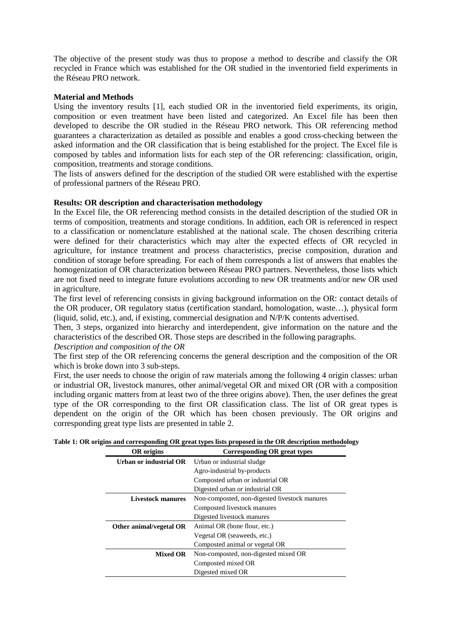The objective of the present study was thus to propose a method to describe and classify the OR recycled in France which was established for the OR studied in the inventoried field experiments in the Réseau PRO network.

# **Material and Methods**

Using the inventory results [1], each studied OR in the inventoried field experiments, its origin, composition or even treatment have been listed and categorized. An Excel file has been then developed to describe the OR studied in the Réseau PRO network. This OR referencing method guarantees a characterization as detailed as possible and enables a good cross-checking between the asked information and the OR classification that is being established for the project. The Excel file is composed by tables and information lists for each step of the OR referencing: classification, origin, composition, treatments and storage conditions.

The lists of answers defined for the description of the studied OR were established with the expertise of professional partners of the Réseau PRO.

# **Results: OR description and characterisation methodology**

In the Excel file, the OR referencing method consists in the detailed description of the studied OR in terms of composition, treatments and storage conditions. In addition, each OR is referenced in respect to a classification or nomenclature established at the national scale. The chosen describing criteria were defined for their characteristics which may alter the expected effects of OR recycled in agriculture, for instance treatment and process characteristics, precise composition, duration and condition of storage before spreading. For each of them corresponds a list of answers that enables the homogenization of OR characterization between Réseau PRO partners. Nevertheless, those lists which are not fixed need to integrate future evolutions according to new OR treatments and/or new OR used in agriculture.

The first level of referencing consists in giving background information on the OR: contact details of the OR producer, OR regulatory status (certification standard, homologation, waste…), physical form (liquid, solid, etc.), and, if existing, commercial designation and N/P/K contents advertised.

Then, 3 steps, organized into hierarchy and interdependent, give information on the nature and the characteristics of the described OR. Those steps are described in the following paragraphs.

*Description and composition of the OR* 

The first step of the OR referencing concerns the general description and the composition of the OR which is broke down into 3 sub-steps.

First, the user needs to choose the origin of raw materials among the following 4 origin classes: urban or industrial OR, livestock manures, other animal/vegetal OR and mixed OR (OR with a composition including organic matters from at least two of the three origins above). Then, the user defines the great type of the OR corresponding to the first OR classification class. The list of OR great types is dependent on the origin of the OR which has been chosen previously. The OR origins and corresponding great type lists are presented in table 2.

| <b>OR</b> origins        | Corresponding OR great types                  |
|--------------------------|-----------------------------------------------|
| Urban or industrial OR   | Urban or industrial sludge                    |
|                          | Agro-industrial by-products                   |
|                          | Composted urban or industrial OR              |
|                          | Digested urban or industrial OR               |
| <b>Livestock manures</b> | Non-composted, non-digested livestock manures |
|                          | Composted livestock manures                   |
|                          | Digested livestock manures                    |
| Other animal/vegetal OR  | Animal OR (bone flour, etc.)                  |
|                          | Vegetal OR (seaweeds, etc.)                   |
|                          | Composted animal or vegetal OR                |
| <b>Mixed OR</b>          | Non-composted, non-digested mixed OR          |
|                          | Composted mixed OR                            |
|                          | Digested mixed OR                             |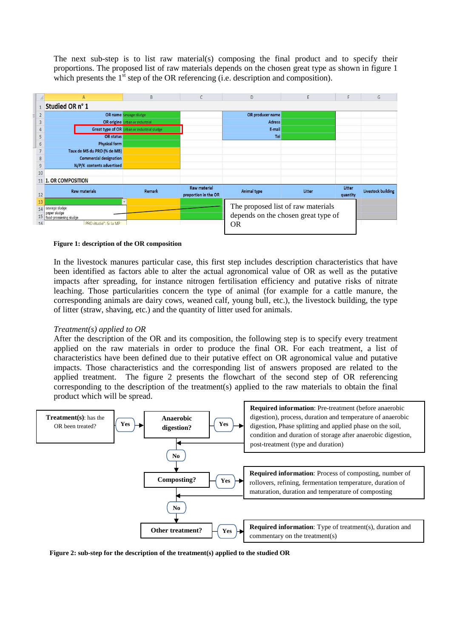The next sub-step is to list raw material(s) composing the final product and to specify their proportions. The proposed list of raw materials depends on the chosen great type as shown in figure 1 which presents the  $1<sup>st</sup>$  step of the OR referencing (i.e. description and composition).



#### **Figure 1: description of the OR composition**

In the livestock manures particular case, this first step includes description characteristics that have been identified as factors able to alter the actual agronomical value of OR as well as the putative impacts after spreading, for instance nitrogen fertilisation efficiency and putative risks of nitrate leaching. Those particularities concern the type of animal (for example for a cattle manure, the corresponding animals are dairy cows, weaned calf, young bull, etc.), the livestock building, the type of litter (straw, shaving, etc.) and the quantity of litter used for animals.

# *Treatment(s) applied to OR*

After the description of the OR and its composition, the following step is to specify every treatment applied on the raw materials in order to produce the final OR. For each treatment, a list of characteristics have been defined due to their putative effect on OR agronomical value and putative impacts. Those characteristics and the corresponding list of answers proposed are related to the applied treatment. The figure 2 presents the flowchart of the second step of OR referencing corresponding to the description of the treatment(s) applied to the raw materials to obtain the final product which will be spread.



**Figure 2: sub-step for the description of the treatment(s) applied to the studied OR**